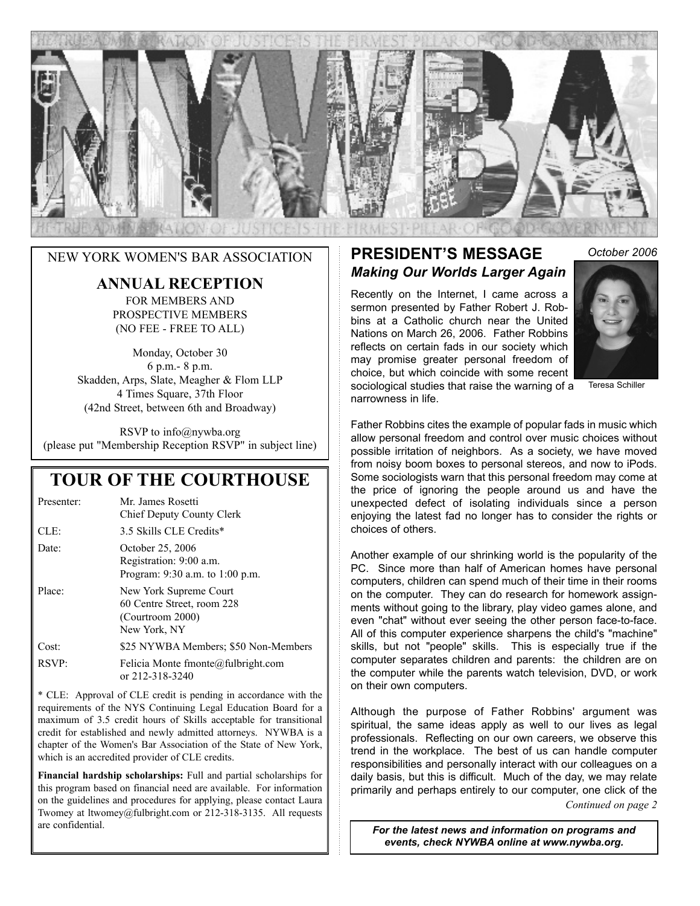

#### **ANNUAL RECEPTION**

FOR MEMBERS AND PROSPECTIVE MEMBERS (NO FEE - FREE TO ALL)

Monday, October 30 6 p.m.- 8 p.m. Skadden, Arps, Slate, Meagher & Flom LLP 4 Times Square, 37th Floor (42nd Street, between 6th and Broadway)

RSVP to info@nywba.org (please put "Membership Reception RSVP" in subject line)

### **TOUR OF THE COURTHOUSE**

| Presenter: | Mr. James Rosetti<br>Chief Deputy County Clerk                                           |
|------------|------------------------------------------------------------------------------------------|
| CLE        | 3.5 Skills CLE Credits*                                                                  |
| Date:      | October 25, 2006<br>Registration: 9:00 a.m.<br>Program: 9:30 a.m. to 1:00 p.m.           |
| Place:     | New York Supreme Court<br>60 Centre Street, room 228<br>(Courtroom 2000)<br>New York, NY |
| Cost:      | \$25 NYWBA Members; \$50 Non-Members                                                     |
| RSVP:      | Felicia Monte fmonte@fulbright.com<br>or 212-318-3240                                    |

\* CLE: Approval of CLE credit is pending in accordance with the requirements of the NYS Continuing Legal Education Board for a maximum of 3.5 credit hours of Skills acceptable for transitional credit for established and newly admitted attorneys. NYWBA is a chapter of the Women's Bar Association of the State of New York, which is an accredited provider of CLE credits.

**Financial hardship scholarships:** Full and partial scholarships for this program based on financial need are available. For information on the guidelines and procedures for applying, please contact Laura Twomey at ltwomey@fulbright.com or 212-318-3135. All requests are confidential.

#### **PRESIDENT'S MESSAGE** *Making Our Worlds Larger Again* **NEW YORK WOMEN'S BAR ASSOCIATION PRESIDENT'S MESSAGE** October 2006

Recently on the Internet, I came across a sermon presented by Father Robert J. Robbins at a Catholic church near the United Nations on March 26, 2006. Father Robbins reflects on certain fads in our society which may promise greater personal freedom of choice, but which coincide with some recent sociological studies that raise the warning of a narrowness in life.



Teresa Schiller

Father Robbins cites the example of popular fads in music which allow personal freedom and control over music choices without possible irritation of neighbors. As a society, we have moved from noisy boom boxes to personal stereos, and now to iPods. Some sociologists warn that this personal freedom may come at the price of ignoring the people around us and have the unexpected defect of isolating individuals since a person enjoying the latest fad no longer has to consider the rights or choices of others.

Another example of our shrinking world is the popularity of the PC. Since more than half of American homes have personal computers, children can spend much of their time in their rooms on the computer. They can do research for homework assignments without going to the library, play video games alone, and even "chat" without ever seeing the other person face-to-face. All of this computer experience sharpens the child's "machine" skills, but not "people" skills. This is especially true if the computer separates children and parents: the children are on the computer while the parents watch television, DVD, or work on their own computers.

Although the purpose of Father Robbins' argument was spiritual, the same ideas apply as well to our lives as legal professionals. Reflecting on our own careers, we observe this trend in the workplace. The best of us can handle computer responsibilities and personally interact with our colleagues on a daily basis, but this is difficult. Much of the day, we may relate primarily and perhaps entirely to our computer, one click of the

*Continued on page 2*

*For the latest news and information on programs and events, check NYWBA online at www.nywba.org.*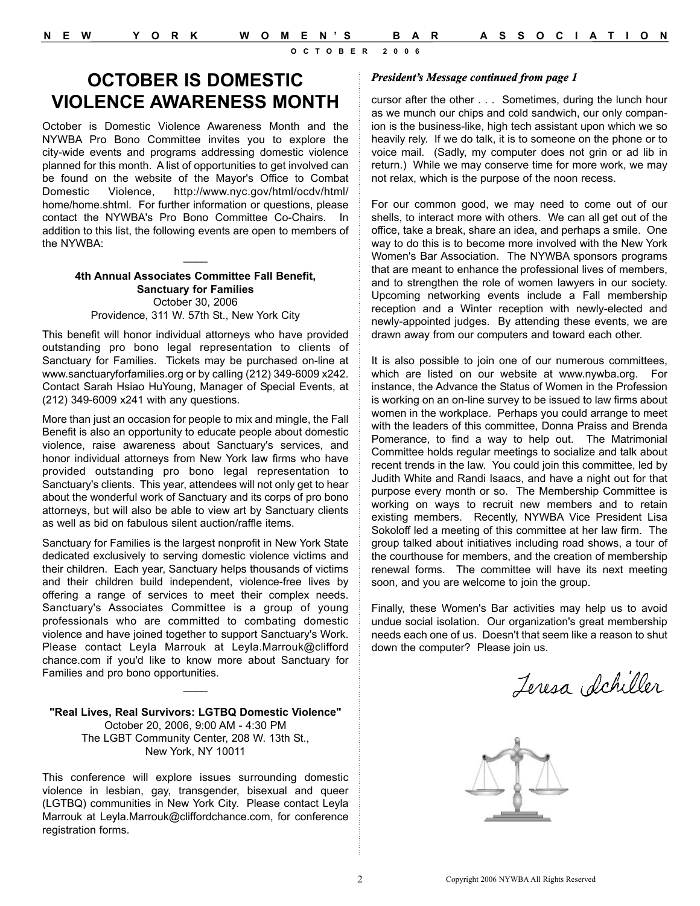# **OCTOBER IS DOMESTIC VIOLENCE AWARENESS MONTH**

October is Domestic Violence Awareness Month and the NYWBA Pro Bono Committee invites you to explore the city-wide events and programs addressing domestic violence planned for this month. A list of opportunities to get involved can be found on the website of the Mayor's Office to Combat Domestic Violence, http://www.nyc.gov/html/ocdv/html/ home/home.shtml. For further information or questions, please contact the NYWBA's Pro Bono Committee Co-Chairs. In addition to this list, the following events are open to members of the NYWBA:

#### **4th Annual Associates Committee Fall Benefit, Sanctuary for Families** October 30, 2006 Providence, 311 W. 57th St., New York City

 $\overline{\phantom{a}}$ 

This benefit will honor individual attorneys who have provided outstanding pro bono legal representation to clients of Sanctuary for Families. Tickets may be purchased on-line at www.sanctuaryforfamilies.org or by calling (212) 349-6009 x242. Contact Sarah Hsiao HuYoung, Manager of Special Events, at (212) 349-6009 x241 with any questions.

More than just an occasion for people to mix and mingle, the Fall Benefit is also an opportunity to educate people about domestic violence, raise awareness about Sanctuary's services, and honor individual attorneys from New York law firms who have provided outstanding pro bono legal representation to Sanctuary's clients. This year, attendees will not only get to hear about the wonderful work of Sanctuary and its corps of pro bono attorneys, but will also be able to view art by Sanctuary clients as well as bid on fabulous silent auction/raffle items.

Sanctuary for Families is the largest nonprofit in New York State dedicated exclusively to serving domestic violence victims and their children. Each year, Sanctuary helps thousands of victims and their children build independent, violence-free lives by offering a range of services to meet their complex needs. Sanctuary's Associates Committee is a group of young professionals who are committed to combating domestic violence and have joined together to support Sanctuary's Work. Please contact Leyla Marrouk at Leyla.Marrouk@clifford chance.com if you'd like to know more about Sanctuary for Families and pro bono opportunities.

**"Real Lives, Real Survivors: LGTBQ Domestic Violence"** October 20, 2006, 9:00 AM - 4:30 PM The LGBT Community Center, 208 W. 13th St., New York, NY 10011

 $\mathcal{L}$ 

This conference will explore issues surrounding domestic violence in lesbian, gay, transgender, bisexual and queer (LGTBQ) communities in New York City. Please contact Leyla Marrouk at Leyla.Marrouk@cliffordchance.com, for conference registration forms.

#### *President's Message continued from page 1*

cursor after the other . . . Sometimes, during the lunch hour as we munch our chips and cold sandwich, our only companion is the business-like, high tech assistant upon which we so heavily rely. If we do talk, it is to someone on the phone or to voice mail. (Sadly, my computer does not grin or ad lib in return.) While we may conserve time for more work, we may not relax, which is the purpose of the noon recess.

For our common good, we may need to come out of our shells, to interact more with others. We can all get out of the office, take a break, share an idea, and perhaps a smile. One way to do this is to become more involved with the New York Women's Bar Association. The NYWBA sponsors programs that are meant to enhance the professional lives of members, and to strengthen the role of women lawyers in our society. Upcoming networking events include a Fall membership reception and a Winter reception with newly-elected and newly-appointed judges. By attending these events, we are drawn away from our computers and toward each other.

It is also possible to join one of our numerous committees, which are listed on our website at www.nywba.org. For instance, the Advance the Status of Women in the Profession is working on an on-line survey to be issued to law firms about women in the workplace. Perhaps you could arrange to meet with the leaders of this committee, Donna Praiss and Brenda Pomerance, to find a way to help out. The Matrimonial Committee holds regular meetings to socialize and talk about recent trends in the law. You could join this committee, led by Judith White and Randi Isaacs, and have a night out for that purpose every month or so. The Membership Committee is working on ways to recruit new members and to retain existing members. Recently, NYWBA Vice President Lisa Sokoloff led a meeting of this committee at her law firm. The group talked about initiatives including road shows, a tour of the courthouse for members, and the creation of membership renewal forms. The committee will have its next meeting soon, and you are welcome to join the group.

Finally, these Women's Bar activities may help us to avoid undue social isolation. Our organization's great membership needs each one of us. Doesn't that seem like a reason to shut down the computer? Please join us.

Jeresa Schiller

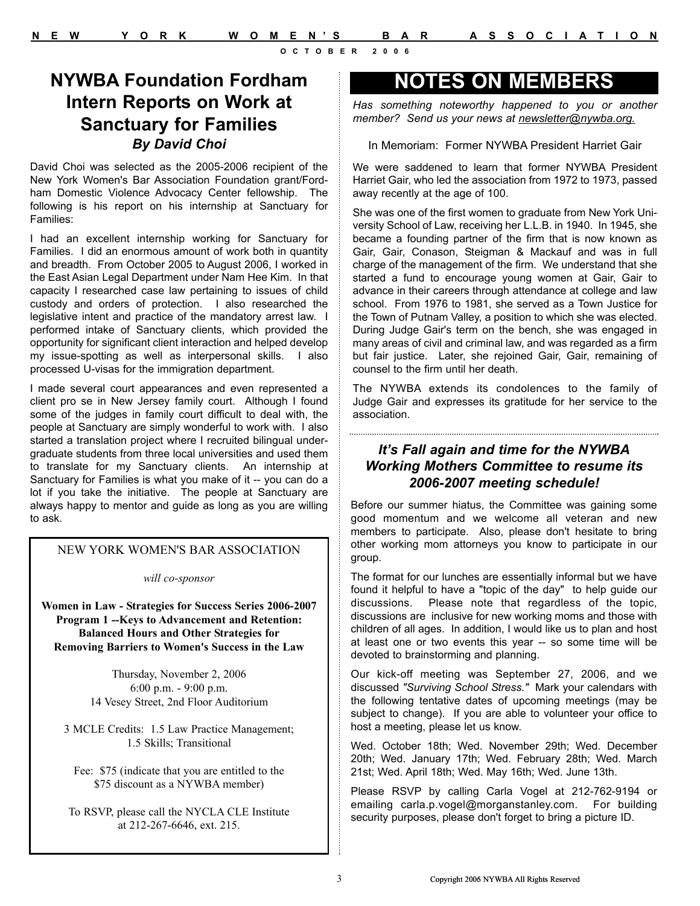**NYWBA Foundation Fordham Intern Reports on Work at Sanctuary for Families**  *By David Choi*

David Choi was selected as the 2005-2006 recipient of the New York Women's Bar Association Foundation grant/Fordham Domestic Violence Advocacy Center fellowship. The following is his report on his internship at Sanctuary for Families:

I had an excellent internship working for Sanctuary for Families. I did an enormous amount of work both in quantity and breadth. From October 2005 to August 2006, I worked in the East Asian Legal Department under Nam Hee Kim. In that capacity I researched case law pertaining to issues of child custody and orders of protection. I also researched the legislative intent and practice of the mandatory arrest law. I performed intake of Sanctuary clients, which provided the opportunity for significant client interaction and helped develop my issue-spotting as well as interpersonal skills. I also processed U-visas for the immigration department.

I made several court appearances and even represented a client pro se in New Jersey family court. Although I found some of the judges in family court difficult to deal with, the people at Sanctuary are simply wonderful to work with. I also started a translation project where I recruited bilingual undergraduate students from three local universities and used them to translate for my Sanctuary clients. An internship at Sanctuary for Families is what you make of it -- you can do a lot if you take the initiative. The people at Sanctuary are always happy to mentor and guide as long as you are willing to ask.

#### NEW YORK WOMEN'S BAR ASSOCIATION

*will co-sponsor*

**Women in Law - Strategies for Success Series 2006-2007 Program 1 --Keys to Advancement and Retention: Balanced Hours and Other Strategies for Removing Barriers to Women's Success in the Law**

> Thursday, November 2, 2006 6:00 p.m. - 9:00 p.m. 14 Vesey Street, 2nd Floor Auditorium

3 MCLE Credits: 1.5 Law Practice Management; 1.5 Skills; Transitional

Fee: \$75 (indicate that you are entitled to the \$75 discount as a NYWBA member)

To RSVP, please call the NYCLA CLE Institute at 212-267-6646, ext. 215.

# **NOTES ON MEMBERS**

*Has something noteworthy happened to you or another member? Send us your news at newsletter@nywba.org.*

In Memoriam: Former NYWBA President Harriet Gair

We were saddened to learn that former NYWBA President Harriet Gair, who led the association from 1972 to 1973, passed away recently at the age of 100.

She was one of the first women to graduate from New York University School of Law, receiving her L.L.B. in 1940. In 1945, she became a founding partner of the firm that is now known as Gair, Gair, Conason, Steigman & Mackauf and was in full charge of the management of the firm. We understand that she started a fund to encourage young women at Gair, Gair to advance in their careers through attendance at college and law school. From 1976 to 1981, she served as a Town Justice for the Town of Putnam Valley, a position to which she was elected. During Judge Gair's term on the bench, she was engaged in many areas of civil and criminal law, and was regarded as a firm but fair justice. Later, she rejoined Gair, Gair, remaining of counsel to the firm until her death.

The NYWBA extends its condolences to the family of Judge Gair and expresses its gratitude for her service to the association.

#### *It's Fall again and time for the NYWBA Working Mothers Committee to resume its 2006-2007 meeting schedule!*

Before our summer hiatus, the Committee was gaining some good momentum and we welcome all veteran and new members to participate. Also, please don't hesitate to bring other working mom attorneys you know to participate in our group.

The format for our lunches are essentially informal but we have found it helpful to have a "topic of the day" to help guide our discussions. Please note that regardless of the topic, discussions are inclusive for new working moms and those with children of all ages. In addition, I would like us to plan and host at least one or two events this year -- so some time will be devoted to brainstorming and planning.

Our kick-off meeting was September 27, 2006, and we discussed *"Surviving School Stress."* Mark your calendars with the following tentative dates of upcoming meetings (may be subject to change). If you are able to volunteer your office to host a meeting, please let us know.

Wed. October 18th; Wed. November 29th; Wed. December 20th; Wed. January 17th; Wed. February 28th; Wed. March 21st; Wed. April 18th; Wed. May 16th; Wed. June 13th.

Please RSVP by calling Carla Vogel at 212-762-9194 or emailing carla.p.vogel@morganstanley.com. For building security purposes, please don't forget to bring a picture ID.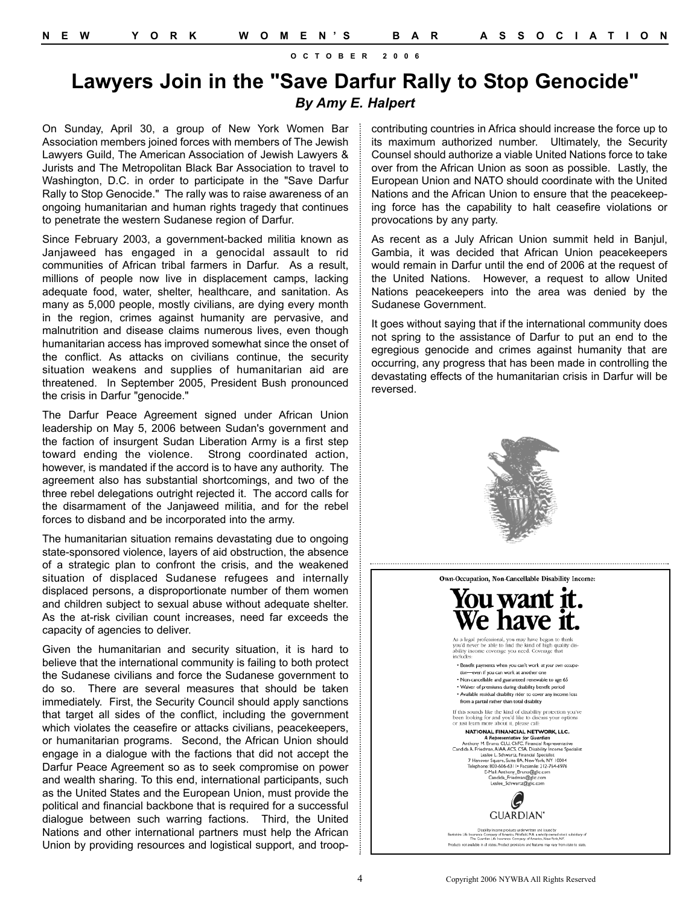## **Lawyers Join in the "Save Darfur Rally to Stop Genocide"** *By Amy E. Halpert*

On Sunday, April 30, a group of New York Women Bar Association members joined forces with members of The Jewish Lawyers Guild, The American Association of Jewish Lawyers & Jurists and The Metropolitan Black Bar Association to travel to Washington, D.C. in order to participate in the "Save Darfur Rally to Stop Genocide." The rally was to raise awareness of an ongoing humanitarian and human rights tragedy that continues to penetrate the western Sudanese region of Darfur.

Since February 2003, a government-backed militia known as Janjaweed has engaged in a genocidal assault to rid communities of African tribal farmers in Darfur. As a result, millions of people now live in displacement camps, lacking adequate food, water, shelter, healthcare, and sanitation. As many as 5,000 people, mostly civilians, are dying every month in the region, crimes against humanity are pervasive, and malnutrition and disease claims numerous lives, even though humanitarian access has improved somewhat since the onset of the conflict. As attacks on civilians continue, the security situation weakens and supplies of humanitarian aid are threatened. In September 2005, President Bush pronounced the crisis in Darfur "genocide."

The Darfur Peace Agreement signed under African Union leadership on May 5, 2006 between Sudan's government and the faction of insurgent Sudan Liberation Army is a first step toward ending the violence. Strong coordinated action, however, is mandated if the accord is to have any authority. The agreement also has substantial shortcomings, and two of the three rebel delegations outright rejected it. The accord calls for the disarmament of the Janjaweed militia, and for the rebel forces to disband and be incorporated into the army.

The humanitarian situation remains devastating due to ongoing state-sponsored violence, layers of aid obstruction, the absence of a strategic plan to confront the crisis, and the weakened situation of displaced Sudanese refugees and internally displaced persons, a disproportionate number of them women and children subject to sexual abuse without adequate shelter. As the at-risk civilian count increases, need far exceeds the capacity of agencies to deliver.

Given the humanitarian and security situation, it is hard to believe that the international community is failing to both protect the Sudanese civilians and force the Sudanese government to do so. There are several measures that should be taken immediately. First, the Security Council should apply sanctions that target all sides of the conflict, including the government which violates the ceasefire or attacks civilians, peacekeepers, or humanitarian programs. Second, the African Union should engage in a dialogue with the factions that did not accept the Darfur Peace Agreement so as to seek compromise on power and wealth sharing. To this end, international participants, such as the United States and the European Union, must provide the political and financial backbone that is required for a successful dialogue between such warring factions. Third, the United Nations and other international partners must help the African Union by providing resources and logistical support, and troopcontributing countries in Africa should increase the force up to its maximum authorized number. Ultimately, the Security Counsel should authorize a viable United Nations force to take over from the African Union as soon as possible. Lastly, the European Union and NATO should coordinate with the United Nations and the African Union to ensure that the peacekeeping force has the capability to halt ceasefire violations or provocations by any party.

As recent as a July African Union summit held in Banjul, Gambia, it was decided that African Union peacekeepers would remain in Darfur until the end of 2006 at the request of the United Nations. However, a request to allow United Nations peacekeepers into the area was denied by the Sudanese Government.

It goes without saying that if the international community does not spring to the assistance of Darfur to put an end to the egregious genocide and crimes against humanity that are occurring, any progress that has been made in controlling the devastating effects of the humanitarian crisis in Darfur will be reversed.



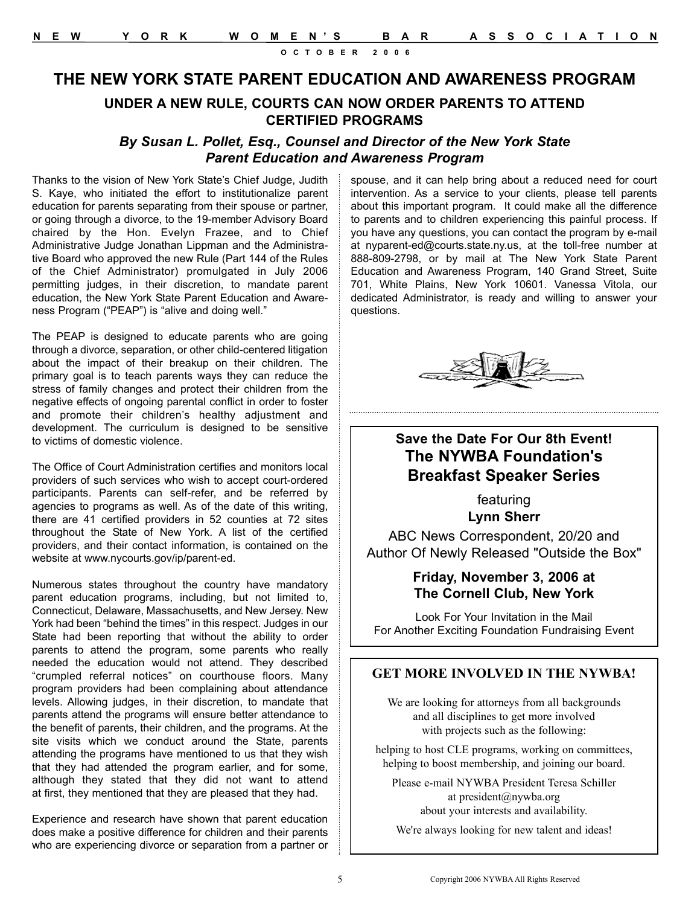### **THE NEW YORK STATE PARENT EDUCATION AND AWARENESS PROGRAM**

#### **UNDER A NEW RULE, COURTS CAN NOW ORDER PARENTS TO ATTEND CERTIFIED PROGRAMS**

#### *By Susan L. Pollet, Esq., Counsel and Director of the New York State Parent Education and Awareness Program*

Thanks to the vision of New York State's Chief Judge, Judith S. Kaye, who initiated the effort to institutionalize parent education for parents separating from their spouse or partner, or going through a divorce, to the 19-member Advisory Board chaired by the Hon. Evelyn Frazee, and to Chief Administrative Judge Jonathan Lippman and the Administrative Board who approved the new Rule (Part 144 of the Rules of the Chief Administrator) promulgated in July 2006 permitting judges, in their discretion, to mandate parent education, the New York State Parent Education and Awareness Program ("PEAP") is "alive and doing well."

The PEAP is designed to educate parents who are going through a divorce, separation, or other child-centered litigation about the impact of their breakup on their children. The primary goal is to teach parents ways they can reduce the stress of family changes and protect their children from the negative effects of ongoing parental conflict in order to foster and promote their children's healthy adjustment and development. The curriculum is designed to be sensitive to victims of domestic violence.

The Office of Court Administration certifies and monitors local providers of such services who wish to accept court-ordered participants. Parents can self-refer, and be referred by agencies to programs as well. As of the date of this writing, there are 41 certified providers in 52 counties at 72 sites throughout the State of New York. A list of the certified providers, and their contact information, is contained on the website at www.nycourts.gov/ip/parent-ed.

Numerous states throughout the country have mandatory parent education programs, including, but not limited to, Connecticut, Delaware, Massachusetts, and New Jersey. New York had been "behind the times" in this respect. Judges in our State had been reporting that without the ability to order parents to attend the program, some parents who really needed the education would not attend. They described "crumpled referral notices" on courthouse floors. Many program providers had been complaining about attendance levels. Allowing judges, in their discretion, to mandate that parents attend the programs will ensure better attendance to the benefit of parents, their children, and the programs. At the site visits which we conduct around the State, parents attending the programs have mentioned to us that they wish that they had attended the program earlier, and for some, although they stated that they did not want to attend at first, they mentioned that they are pleased that they had.

Experience and research have shown that parent education does make a positive difference for children and their parents who are experiencing divorce or separation from a partner or spouse, and it can help bring about a reduced need for court intervention. As a service to your clients, please tell parents about this important program. It could make all the difference to parents and to children experiencing this painful process. If you have any questions, you can contact the program by e-mail at nyparent-ed@courts.state.ny.us, at the toll-free number at 888-809-2798, or by mail at The New York State Parent Education and Awareness Program, 140 Grand Street, Suite 701, White Plains, New York 10601. Vanessa Vitola, our dedicated Administrator, is ready and willing to answer your questions.



#### **Save the Date For Our 8th Event! The NYWBA Foundation's Breakfast Speaker Series**

featuring **Lynn Sherr**

ABC News Correspondent, 20/20 and Author Of Newly Released "Outside the Box"

#### **Friday, November 3, 2006 at The Cornell Club, New York**

Look For Your Invitation in the Mail For Another Exciting Foundation Fundraising Event

#### **GET MORE INVOLVED IN THE NYWBA!**

We are looking for attorneys from all backgrounds and all disciplines to get more involved with projects such as the following:

helping to host CLE programs, working on committees, helping to boost membership, and joining our board.

Please e-mail NYWBA President Teresa Schiller at president@nywba.org about your interests and availability.

We're always looking for new talent and ideas!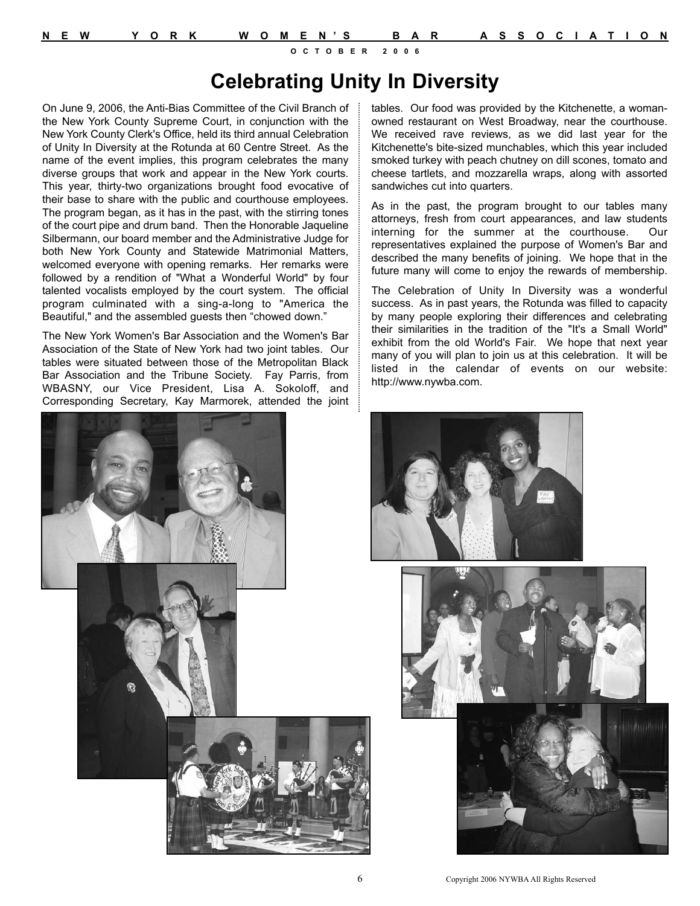# **Celebrating Unity In Diversity**

On June 9, 2006, the Anti-Bias Committee of the Civil Branch of the New York County Supreme Court, in conjunction with the New York County Clerk's Office, held its third annual Celebration of Unity In Diversity at the Rotunda at 60 Centre Street. As the name of the event implies, this program celebrates the many diverse groups that work and appear in the New York courts. This year, thirty-two organizations brought food evocative of their base to share with the public and courthouse employees. The program began, as it has in the past, with the stirring tones of the court pipe and drum band. Then the Honorable Jaqueline Silbermann, our board member and the Administrative Judge for both New York County and Statewide Matrimonial Matters, welcomed everyone with opening remarks. Her remarks were followed by a rendition of "What a Wonderful World" by four talented vocalists employed by the court system. The official program culminated with a sing-a-long to "America the Beautiful," and the assembled guests then "chowed down."

The New York Women's Bar Association and the Women's Bar Association of the State of New York had two joint tables. Our tables were situated between those of the Metropolitan Black Bar Association and the Tribune Society. Fay Parris, from WBASNY, our Vice President, Lisa A. Sokoloff, and Corresponding Secretary, Kay Marmorek, attended the joint



tables. Our food was provided by the Kitchenette, a womanowned restaurant on West Broadway, near the courthouse. We received rave reviews, as we did last year for the Kitchenette's bite-sized munchables, which this year included smoked turkey with peach chutney on dill scones, tomato and cheese tartlets, and mozzarella wraps, along with assorted sandwiches cut into quarters.

As in the past, the program brought to our tables many attorneys, fresh from court appearances, and law students interning for the summer at the courthouse. Our representatives explained the purpose of Women's Bar and described the many benefits of joining. We hope that in the future many will come to enjoy the rewards of membership.

The Celebration of Unity In Diversity was a wonderful success. As in past years, the Rotunda was filled to capacity by many people exploring their differences and celebrating their similarities in the tradition of the "It's a Small World" exhibit from the old World's Fair. We hope that next year many of you will plan to join us at this celebration. It will be listed in the calendar of events on our website: http://www.nywba.com.





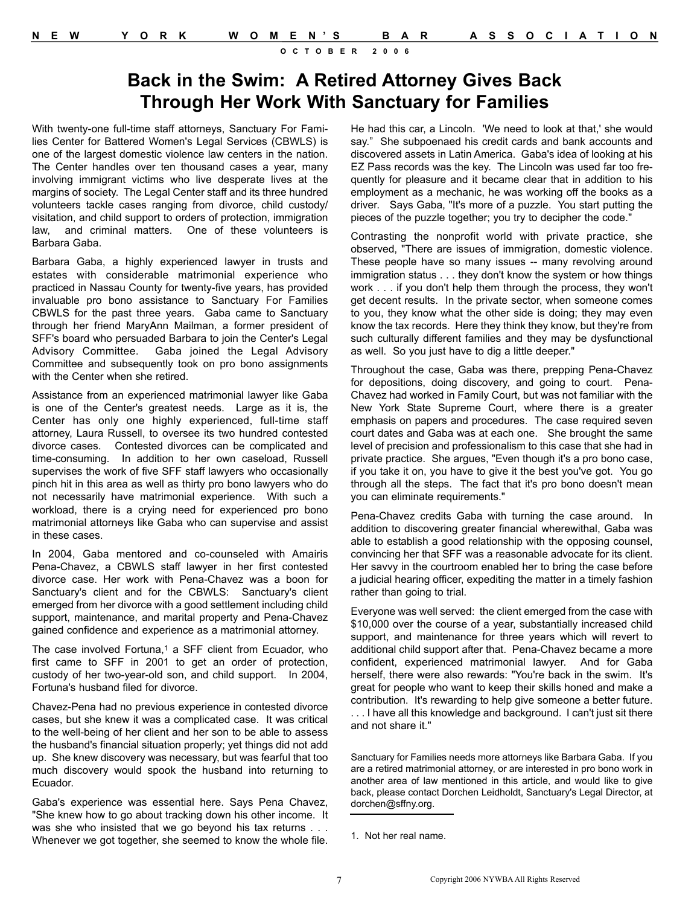# **Back in the Swim: A Retired Attorney Gives Back Through Her Work With Sanctuary for Families**

With twenty-one full-time staff attorneys, Sanctuary For Families Center for Battered Women's Legal Services (CBWLS) is one of the largest domestic violence law centers in the nation. The Center handles over ten thousand cases a year, many involving immigrant victims who live desperate lives at the margins of society. The Legal Center staff and its three hundred volunteers tackle cases ranging from divorce, child custody/ visitation, and child support to orders of protection, immigration law, and criminal matters. One of these volunteers is Barbara Gaba.

Barbara Gaba, a highly experienced lawyer in trusts and estates with considerable matrimonial experience who practiced in Nassau County for twenty-five years, has provided invaluable pro bono assistance to Sanctuary For Families CBWLS for the past three years. Gaba came to Sanctuary through her friend MaryAnn Mailman, a former president of SFF's board who persuaded Barbara to join the Center's Legal Advisory Committee. Gaba joined the Legal Advisory Committee and subsequently took on pro bono assignments with the Center when she retired.

Assistance from an experienced matrimonial lawyer like Gaba is one of the Center's greatest needs. Large as it is, the Center has only one highly experienced, full-time staff attorney, Laura Russell, to oversee its two hundred contested divorce cases. Contested divorces can be complicated and time-consuming. In addition to her own caseload, Russell supervises the work of five SFF staff lawyers who occasionally pinch hit in this area as well as thirty pro bono lawyers who do not necessarily have matrimonial experience. With such a workload, there is a crying need for experienced pro bono matrimonial attorneys like Gaba who can supervise and assist in these cases.

In 2004, Gaba mentored and co-counseled with Amairis Pena-Chavez, a CBWLS staff lawyer in her first contested divorce case. Her work with Pena-Chavez was a boon for Sanctuary's client and for the CBWLS: Sanctuary's client emerged from her divorce with a good settlement including child support, maintenance, and marital property and Pena-Chavez gained confidence and experience as a matrimonial attorney.

The case involved Fortuna,<sup>1</sup> a SFF client from Ecuador, who first came to SFF in 2001 to get an order of protection, custody of her two-year-old son, and child support. In 2004, Fortuna's husband filed for divorce.

Chavez-Pena had no previous experience in contested divorce cases, but she knew it was a complicated case. It was critical to the well-being of her client and her son to be able to assess the husband's financial situation properly; yet things did not add up. She knew discovery was necessary, but was fearful that too much discovery would spook the husband into returning to Ecuador.

Gaba's experience was essential here. Says Pena Chavez, "She knew how to go about tracking down his other income. It was she who insisted that we go beyond his tax returns . . . Whenever we got together, she seemed to know the whole file.

He had this car, a Lincoln. 'We need to look at that,' she would say." She subpoenaed his credit cards and bank accounts and discovered assets in Latin America. Gaba's idea of looking at his EZ Pass records was the key. The Lincoln was used far too frequently for pleasure and it became clear that in addition to his employment as a mechanic, he was working off the books as a driver. Says Gaba, "It's more of a puzzle. You start putting the pieces of the puzzle together; you try to decipher the code."

Contrasting the nonprofit world with private practice, she observed, "There are issues of immigration, domestic violence. These people have so many issues -- many revolving around immigration status . . . they don't know the system or how things work . . . if you don't help them through the process, they won't get decent results. In the private sector, when someone comes to you, they know what the other side is doing; they may even know the tax records. Here they think they know, but they're from such culturally different families and they may be dysfunctional as well. So you just have to dig a little deeper."

Throughout the case, Gaba was there, prepping Pena-Chavez for depositions, doing discovery, and going to court. Pena-Chavez had worked in Family Court, but was not familiar with the New York State Supreme Court, where there is a greater emphasis on papers and procedures. The case required seven court dates and Gaba was at each one. She brought the same level of precision and professionalism to this case that she had in private practice. She argues, "Even though it's a pro bono case, if you take it on, you have to give it the best you've got. You go through all the steps. The fact that it's pro bono doesn't mean you can eliminate requirements."

Pena-Chavez credits Gaba with turning the case around. In addition to discovering greater financial wherewithal, Gaba was able to establish a good relationship with the opposing counsel, convincing her that SFF was a reasonable advocate for its client. Her savvy in the courtroom enabled her to bring the case before a judicial hearing officer, expediting the matter in a timely fashion rather than going to trial.

Everyone was well served: the client emerged from the case with \$10,000 over the course of a year, substantially increased child support, and maintenance for three years which will revert to additional child support after that. Pena-Chavez became a more confident, experienced matrimonial lawyer. And for Gaba herself, there were also rewards: "You're back in the swim. It's great for people who want to keep their skills honed and make a contribution. It's rewarding to help give someone a better future.

. . . I have all this knowledge and background. I can't just sit there and not share it."

Sanctuary for Families needs more attorneys like Barbara Gaba. If you are a retired matrimonial attorney, or are interested in pro bono work in another area of law mentioned in this article, and would like to give back, please contact Dorchen Leidholdt, Sanctuary's Legal Director, at dorchen@sffny.org.

<sup>1.</sup> Not her real name.